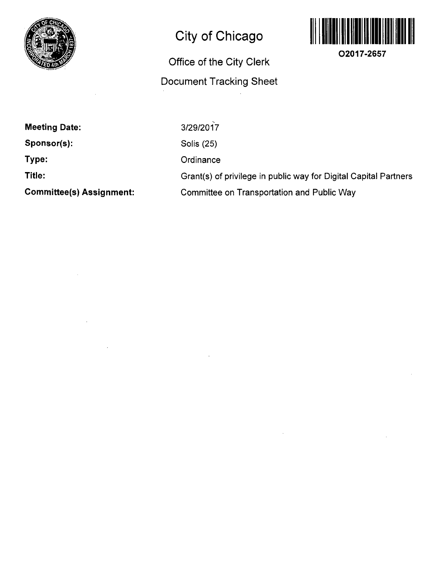

## **City of Chicago**

## **Office of the City Clerk Document Tracking Sheet**



**O2017-2657** 

**Meeting Date: Sponsor(s): Type: Title: Committee(s) Assignment:**  3/29/2017 Solis (25) **Ordinance** Grant(s) of privilege in public way for Digital Capital Partners Committee on Transportation and Public Way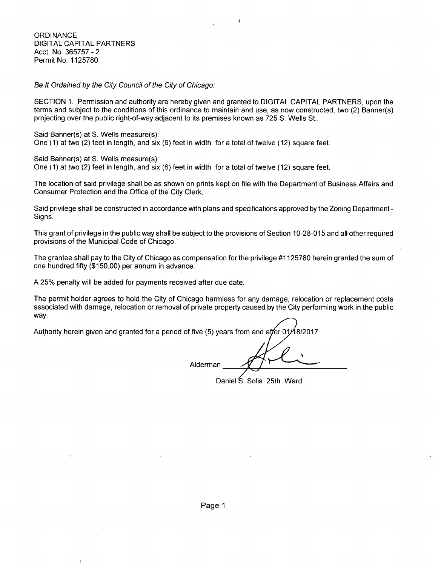**ORDINANCE** DIGITAL CAPITAL PARTNERS Acct. No. 365757 - 2 Permit No. 1125780

Be It Ordained by the City Council of the City of Chicago:

SECTION 1. Permission and authority are hereby given and granted to DIGITAL CAPITAL PARTNERS, upon the terms and subject to the conditions of this ordinance to maintain and use, as now constructed, two (2) Banner(s) projecting over the public right-of-way adjacent to its premises known as 725 S. Wells St..

Said Banner(s) at S. Wells measure(s):

One (1) at two (2) feet in length, and six (6) feet in width for a total of twelve (12) square feet. One (1) at two (2) feet in length, and six (6) feet in width for a total of twelve (12) square feet.

Said Banner(s) at S. Wells measure(s):

One  $(1)$  at two  $(2)$  feet in length, and six  $(6)$  feet in width for a total of twelve  $(12)$  square feet.

The location of said privilege shall be as shown on prints kept on file with the Department of Business Affairs and Consumer Protection and the Office of the City Clerk.

Said privilege shall be constructed in accordance with plans and specifications approved by the Zoning Department - Signs.

This grant of privilege in the public way shall be subject to the provisions of Section 10-28-015 and all other required provisions of the Municipal Code of Chicago.

The grantee shall pay to the City of Chicago as compensation forthe privilege #1125780 herein granted the sum of one hundred fifty (\$150.00) per annum in advance.

A 25% penalty will be added for payments received after due date.

The permit holder agrees to hold the City of Chicago harmless for any damage, relocation or replacement costs associated with damage, relocation or removal of private property caused by the City performing work in the public way.

Authority herein given and granted for a period of five (5) years from and atter 01 8/2017.

Alderman

Daniel S. Solis 25th Ward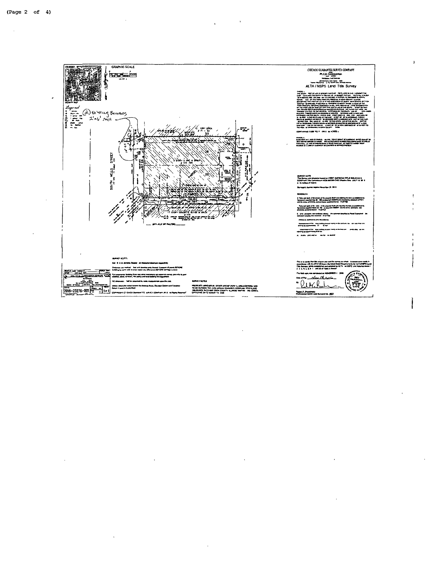

 $\sim 10$ 

 $\ddot{\phantom{a}}$